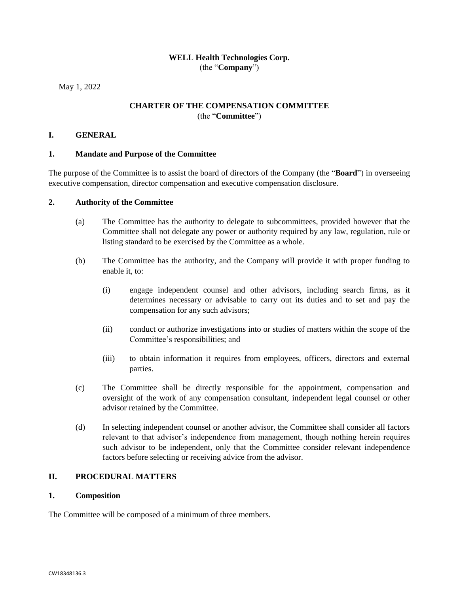# **WELL Health Technologies Corp.** (the "**Company**")

May 1, 2022

# **CHARTER OF THE COMPENSATION COMMITTEE** (the "**Committee**")

## **I. GENERAL**

## **1. Mandate and Purpose of the Committee**

The purpose of the Committee is to assist the board of directors of the Company (the "**Board**") in overseeing executive compensation, director compensation and executive compensation disclosure.

# **2. Authority of the Committee**

- (a) The Committee has the authority to delegate to subcommittees, provided however that the Committee shall not delegate any power or authority required by any law, regulation, rule or listing standard to be exercised by the Committee as a whole.
- (b) The Committee has the authority, and the Company will provide it with proper funding to enable it, to:
	- (i) engage independent counsel and other advisors, including search firms, as it determines necessary or advisable to carry out its duties and to set and pay the compensation for any such advisors;
	- (ii) conduct or authorize investigations into or studies of matters within the scope of the Committee's responsibilities; and
	- (iii) to obtain information it requires from employees, officers, directors and external parties.
- (c) The Committee shall be directly responsible for the appointment, compensation and oversight of the work of any compensation consultant, independent legal counsel or other advisor retained by the Committee.
- (d) In selecting independent counsel or another advisor, the Committee shall consider all factors relevant to that advisor's independence from management, though nothing herein requires such advisor to be independent, only that the Committee consider relevant independence factors before selecting or receiving advice from the advisor.

# **II. PROCEDURAL MATTERS**

## **1. Composition**

The Committee will be composed of a minimum of three members.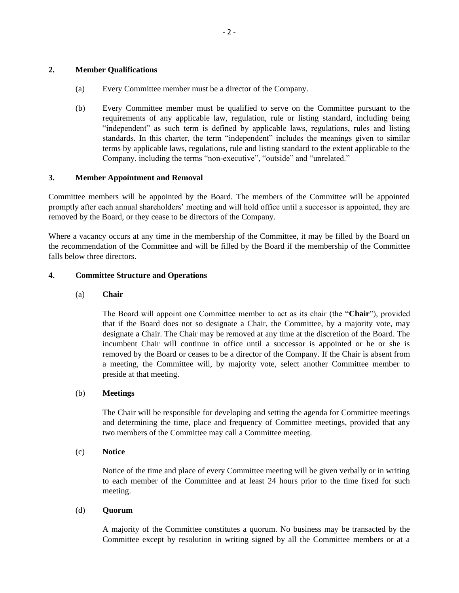### **2. Member Qualifications**

- (a) Every Committee member must be a director of the Company.
- (b) Every Committee member must be qualified to serve on the Committee pursuant to the requirements of any applicable law, regulation, rule or listing standard, including being "independent" as such term is defined by applicable laws, regulations, rules and listing standards. In this charter, the term "independent" includes the meanings given to similar terms by applicable laws, regulations, rule and listing standard to the extent applicable to the Company, including the terms "non‐executive", "outside" and "unrelated."

### **3. Member Appointment and Removal**

Committee members will be appointed by the Board. The members of the Committee will be appointed promptly after each annual shareholders' meeting and will hold office until a successor is appointed, they are removed by the Board, or they cease to be directors of the Company.

Where a vacancy occurs at any time in the membership of the Committee, it may be filled by the Board on the recommendation of the Committee and will be filled by the Board if the membership of the Committee falls below three directors.

### **4. Committee Structure and Operations**

### (a) **Chair**

The Board will appoint one Committee member to act as its chair (the "**Chair**"), provided that if the Board does not so designate a Chair, the Committee, by a majority vote, may designate a Chair. The Chair may be removed at any time at the discretion of the Board. The incumbent Chair will continue in office until a successor is appointed or he or she is removed by the Board or ceases to be a director of the Company. If the Chair is absent from a meeting, the Committee will, by majority vote, select another Committee member to preside at that meeting.

#### (b) **Meetings**

The Chair will be responsible for developing and setting the agenda for Committee meetings and determining the time, place and frequency of Committee meetings, provided that any two members of the Committee may call a Committee meeting.

#### (c) **Notice**

Notice of the time and place of every Committee meeting will be given verbally or in writing to each member of the Committee and at least 24 hours prior to the time fixed for such meeting.

#### (d) **Quorum**

A majority of the Committee constitutes a quorum. No business may be transacted by the Committee except by resolution in writing signed by all the Committee members or at a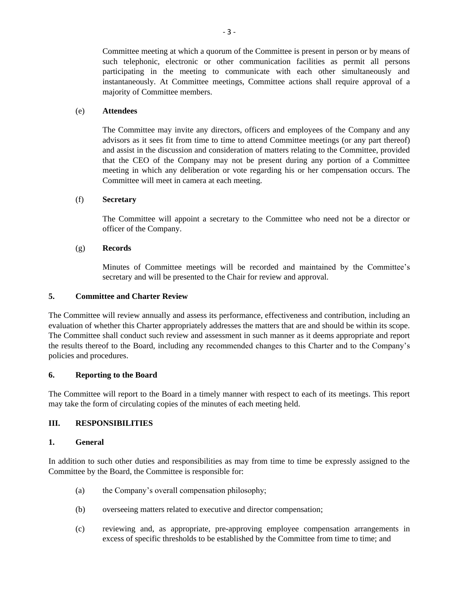Committee meeting at which a quorum of the Committee is present in person or by means of such telephonic, electronic or other communication facilities as permit all persons participating in the meeting to communicate with each other simultaneously and instantaneously. At Committee meetings, Committee actions shall require approval of a majority of Committee members.

# (e) **Attendees**

The Committee may invite any directors, officers and employees of the Company and any advisors as it sees fit from time to time to attend Committee meetings (or any part thereof) and assist in the discussion and consideration of matters relating to the Committee, provided that the CEO of the Company may not be present during any portion of a Committee meeting in which any deliberation or vote regarding his or her compensation occurs. The Committee will meet in camera at each meeting.

# (f) **Secretary**

The Committee will appoint a secretary to the Committee who need not be a director or officer of the Company.

# (g) **Records**

Minutes of Committee meetings will be recorded and maintained by the Committee's secretary and will be presented to the Chair for review and approval.

## **5. Committee and Charter Review**

The Committee will review annually and assess its performance, effectiveness and contribution, including an evaluation of whether this Charter appropriately addresses the matters that are and should be within its scope. The Committee shall conduct such review and assessment in such manner as it deems appropriate and report the results thereof to the Board, including any recommended changes to this Charter and to the Company's policies and procedures.

## **6. Reporting to the Board**

The Committee will report to the Board in a timely manner with respect to each of its meetings. This report may take the form of circulating copies of the minutes of each meeting held.

## **III. RESPONSIBILITIES**

## **1. General**

In addition to such other duties and responsibilities as may from time to time be expressly assigned to the Committee by the Board, the Committee is responsible for:

- (a) the Company's overall compensation philosophy;
- (b) overseeing matters related to executive and director compensation;
- (c) reviewing and, as appropriate, pre-approving employee compensation arrangements in excess of specific thresholds to be established by the Committee from time to time; and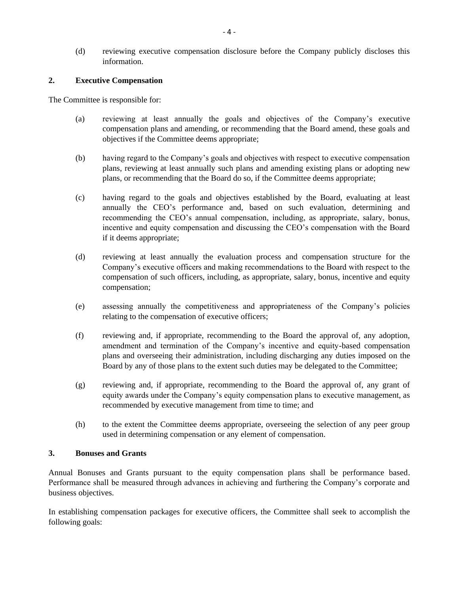(d) reviewing executive compensation disclosure before the Company publicly discloses this information.

## **2. Executive Compensation**

The Committee is responsible for:

- (a) reviewing at least annually the goals and objectives of the Company's executive compensation plans and amending, or recommending that the Board amend, these goals and objectives if the Committee deems appropriate;
- (b) having regard to the Company's goals and objectives with respect to executive compensation plans, reviewing at least annually such plans and amending existing plans or adopting new plans, or recommending that the Board do so, if the Committee deems appropriate;
- (c) having regard to the goals and objectives established by the Board, evaluating at least annually the CEO's performance and, based on such evaluation, determining and recommending the CEO's annual compensation, including, as appropriate, salary, bonus, incentive and equity compensation and discussing the CEO's compensation with the Board if it deems appropriate;
- (d) reviewing at least annually the evaluation process and compensation structure for the Company's executive officers and making recommendations to the Board with respect to the compensation of such officers, including, as appropriate, salary, bonus, incentive and equity compensation;
- (e) assessing annually the competitiveness and appropriateness of the Company's policies relating to the compensation of executive officers;
- (f) reviewing and, if appropriate, recommending to the Board the approval of, any adoption, amendment and termination of the Company's incentive and equity-based compensation plans and overseeing their administration, including discharging any duties imposed on the Board by any of those plans to the extent such duties may be delegated to the Committee;
- (g) reviewing and, if appropriate, recommending to the Board the approval of, any grant of equity awards under the Company's equity compensation plans to executive management, as recommended by executive management from time to time; and
- (h) to the extent the Committee deems appropriate, overseeing the selection of any peer group used in determining compensation or any element of compensation.

## **3. Bonuses and Grants**

Annual Bonuses and Grants pursuant to the equity compensation plans shall be performance based. Performance shall be measured through advances in achieving and furthering the Company's corporate and business objectives.

In establishing compensation packages for executive officers, the Committee shall seek to accomplish the following goals: